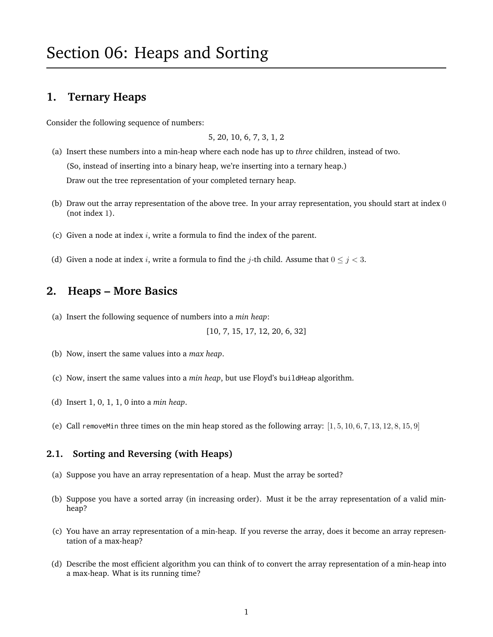## **1. Ternary Heaps**

Consider the following sequence of numbers:

5, 20, 10, 6, 7, 3, 1, 2

- (a) Insert these numbers into a min-heap where each node has up to *three* children, instead of two. (So, instead of inserting into a binary heap, we're inserting into a ternary heap.) Draw out the tree representation of your completed ternary heap.
- (b) Draw out the array representation of the above tree. In your array representation, you should start at index 0 (not index 1).
- (c) Given a node at index  $i$ , write a formula to find the index of the parent.
- (d) Given a node at index i, write a formula to find the j-th child. Assume that  $0 \le j < 3$ .

#### **2. Heaps – More Basics**

(a) Insert the following sequence of numbers into a *min heap*:

[10, 7, 15, 17, 12, 20, 6, 32]

- (b) Now, insert the same values into a *max heap*.
- (c) Now, insert the same values into a *min heap*, but use Floyd's buildHeap algorithm.
- (d) Insert 1, 0, 1, 1, 0 into a *min heap*.
- (e) Call removeMin three times on the min heap stored as the following array:  $[1, 5, 10, 6, 7, 13, 12, 8, 15, 9]$

#### **2.1. Sorting and Reversing (with Heaps)**

- (a) Suppose you have an array representation of a heap. Must the array be sorted?
- (b) Suppose you have a sorted array (in increasing order). Must it be the array representation of a valid minheap?
- (c) You have an array representation of a min-heap. If you reverse the array, does it become an array representation of a max-heap?
- (d) Describe the most efficient algorithm you can think of to convert the array representation of a min-heap into a max-heap. What is its running time?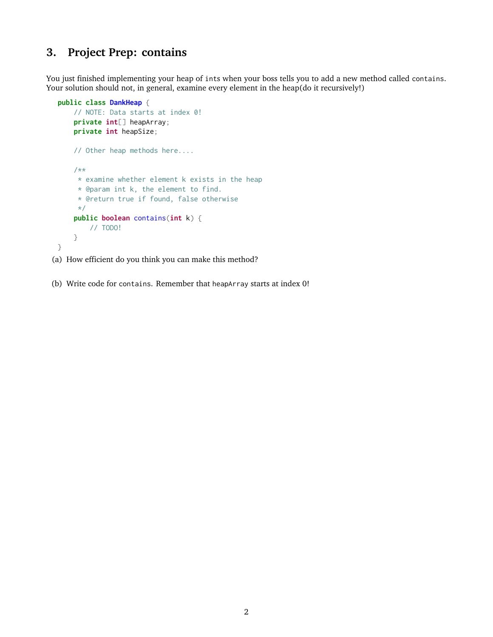## **3. Project Prep: contains**

You just finished implementing your heap of ints when your boss tells you to add a new method called contains. Your solution should not, in general, examine every element in the heap(do it recursively!)

```
public class DankHeap {
    // NOTE: Data starts at index 0!
    private int[] heapArray;
   private int heapSize;
   // Other heap methods here....
    /**
    * examine whether element k exists in the heap
     * @param int k, the element to find.
     * @return true if found, false otherwise
    */
   public boolean contains(int k) {
       // TODO!
    }
}
```
(a) How efficient do you think you can make this method?

(b) Write code for contains. Remember that heapArray starts at index 0!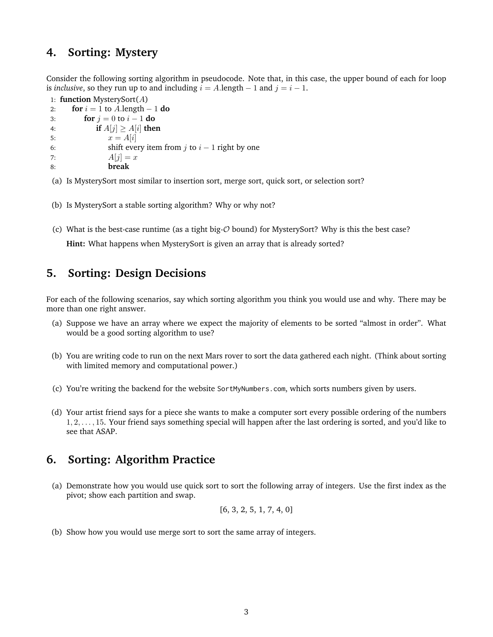### **4. Sorting: Mystery**

Consider the following sorting algorithm in pseudocode. Note that, in this case, the upper bound of each for loop is *inclusive*, so they run up to and including  $i = A$ . length  $-1$  and  $j = i - 1$ .

```
1: function MysterySort(A)
2: for i = 1 to A.length -1 do
3: for j = 0 to i - 1 do
4: if A[j] \geq A[i] then
5: x = A[i]6: shift every item from j to i - 1 right by one
7: A[i] = x8: break
```
(a) Is MysterySort most similar to insertion sort, merge sort, quick sort, or selection sort?

- (b) Is MysterySort a stable sorting algorithm? Why or why not?
- (c) What is the best-case runtime (as a tight big- $\mathcal O$  bound) for MysterySort? Why is this the best case?

**Hint:** What happens when MysterySort is given an array that is already sorted?

#### **5. Sorting: Design Decisions**

For each of the following scenarios, say which sorting algorithm you think you would use and why. There may be more than one right answer.

- (a) Suppose we have an array where we expect the majority of elements to be sorted "almost in order". What would be a good sorting algorithm to use?
- (b) You are writing code to run on the next Mars rover to sort the data gathered each night. (Think about sorting with limited memory and computational power.)
- (c) You're writing the backend for the website SortMyNumbers.com, which sorts numbers given by users.
- (d) Your artist friend says for a piece she wants to make a computer sort every possible ordering of the numbers 1, 2, . . . , 15. Your friend says something special will happen after the last ordering is sorted, and you'd like to see that ASAP.

## **6. Sorting: Algorithm Practice**

(a) Demonstrate how you would use quick sort to sort the following array of integers. Use the first index as the pivot; show each partition and swap.

$$
[6, 3, 2, 5, 1, 7, 4, 0]
$$

(b) Show how you would use merge sort to sort the same array of integers.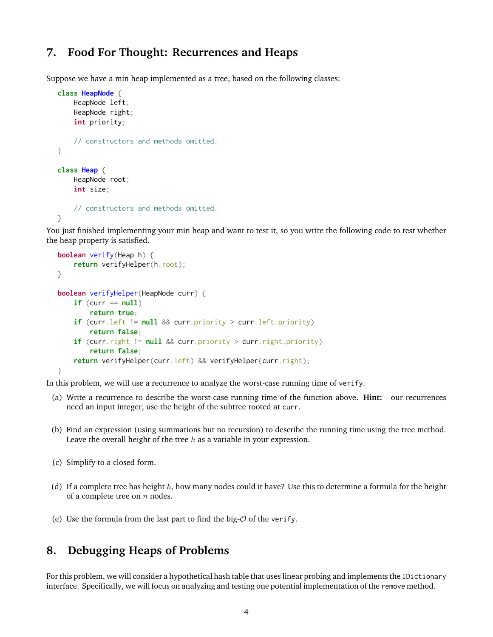# **7. Food For Thought: Recurrences and Heaps**

Suppose we have a min heap implemented as a tree, based on the following classes:

```
class HeapNode {
    HeapNode left;
    HeapNode right;
    int priority;
    // constructors and methods omitted.
}
class Heap {
   HeapNode root;
    int size;
    // constructors and methods omitted.
}
```
You just finished implementing your min heap and want to test it, so you write the following code to test whether the heap property is satisfied.

```
boolean verify(Heap h) {
    return verifyHelper(h.root);
}
boolean verifyHelper(HeapNode curr) {
    if (curr == null)
        return true;
    if (curr.left != null && curr.priority > curr.left.priority)
        return false;
    if (curr.right != null && curr.priority > curr.right.priority)
        return false;
    return verifyHelper(curr.left) && verifyHelper(curr.right);
}
```
In this problem, we will use a recurrence to analyze the worst-case running time of verify.

- (a) Write a recurrence to describe the worst-case running time of the function above. **Hint:** our recurrences need an input integer, use the height of the subtree rooted at curr.
- (b) Find an expression (using summations but no recursion) to describe the running time using the tree method. Leave the overall height of the tree  $h$  as a variable in your expression.
- (c) Simplify to a closed form.
- (d) If a complete tree has height  $h$ , how many nodes could it have? Use this to determine a formula for the height of a complete tree on  $n$  nodes.
- (e) Use the formula from the last part to find the big- $\mathcal O$  of the verify.

## **8. Debugging Heaps of Problems**

For this problem, we will consider a hypothetical hash table that uses linear probing and implements the IDictionary interface. Specifically, we will focus on analyzing and testing one potential implementation of the remove method.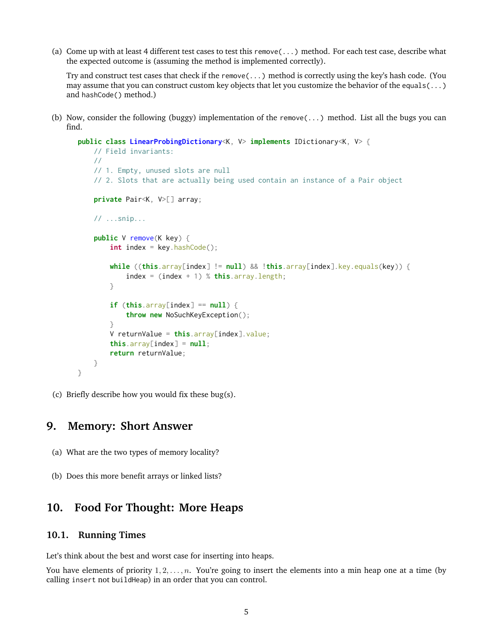(a) Come up with at least 4 different test cases to test this remove(...) method. For each test case, describe what the expected outcome is (assuming the method is implemented correctly).

Try and construct test cases that check if the remove(...) method is correctly using the key's hash code. (You may assume that you can construct custom key objects that let you customize the behavior of the equals(...) and hashCode() method.)

(b) Now, consider the following (buggy) implementation of the remove(...) method. List all the bugs you can find.

```
public class LinearProbingDictionary<K, V> implements IDictionary<K, V> {
   // Field invariants:
   //
   // 1. Empty, unused slots are null
    // 2. Slots that are actually being used contain an instance of a Pair object
    private Pair<K, V>[] array;
   // ...snip...
    public V remove(K key) {
        int index = key.hashCode();
        while ((this.array[index] != null) && !this.array[index].key.equals(key)) {
            index = (index + 1) % this.array.length;
        }
        if (this.array[index] == null) {
            throw new NoSuchKeyException();
        }
        V returnValue = this.array[index].value;
        this.array[index] = null;return returnValue;
   }
}
```
(c) Briefly describe how you would fix these bug(s).

### **9. Memory: Short Answer**

- (a) What are the two types of memory locality?
- (b) Does this more benefit arrays or linked lists?

#### **10. Food For Thought: More Heaps**

#### **10.1. Running Times**

Let's think about the best and worst case for inserting into heaps.

You have elements of priority  $1, 2, \ldots, n$ . You're going to insert the elements into a min heap one at a time (by calling insert not buildHeap) in an order that you can control.